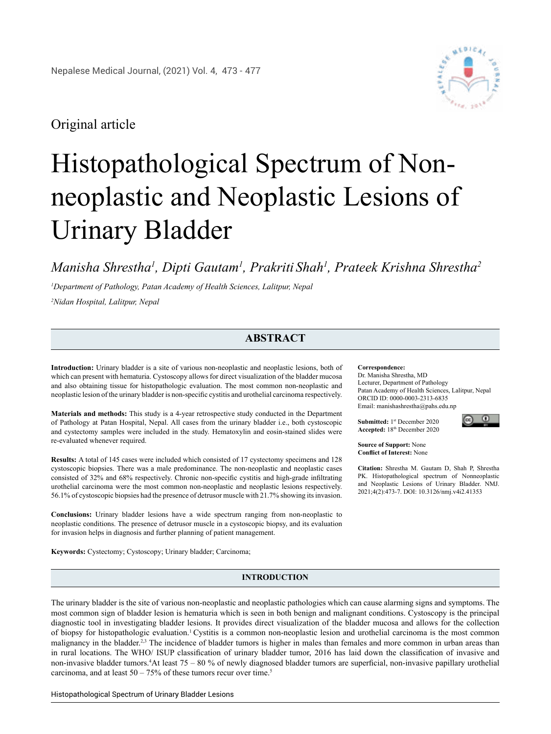# Original article

# Histopathological Spectrum of Nonneoplastic and Neoplastic Lesions of Urinary Bladder

*Manisha Shrestha1 , Dipti Gautam1 , Prakriti Shah1 , Prateek Krishna Shrestha2*

*1 Department of Pathology, Patan Academy of Health Sciences, Lalitpur, Nepal 2 Nidan Hospital, Lalitpur, Nepal*

## **ABSTRACT**

**Introduction:** Urinary bladder is a site of various non-neoplastic and neoplastic lesions, both of which can present with hematuria. Cystoscopy allows for direct visualization of the bladder mucosa and also obtaining tissue for histopathologic evaluation. The most common non-neoplastic and neoplastic lesion of the urinary bladder is non-specific cystitis and urothelial carcinoma respectively.

**Materials and methods:** This study is a 4-year retrospective study conducted in the Department of Pathology at Patan Hospital, Nepal. All cases from the urinary bladder i.e., both cystoscopic and cystectomy samples were included in the study. Hematoxylin and eosin-stained slides were re-evaluated whenever required.

**Results:** A total of 145 cases were included which consisted of 17 cystectomy specimens and 128 cystoscopic biopsies. There was a male predominance. The non-neoplastic and neoplastic cases consisted of 32% and 68% respectively. Chronic non-specific cystitis and high-grade infiltrating urothelial carcinoma were the most common non-neoplastic and neoplastic lesions respectively. 56.1% of cystoscopic biopsies had the presence of detrusor muscle with 21.7% showing its invasion.

**Conclusions:** Urinary bladder lesions have a wide spectrum ranging from non-neoplastic to neoplastic conditions. The presence of detrusor muscle in a cystoscopic biopsy, and its evaluation for invasion helps in diagnosis and further planning of patient management.

**Keywords:** Cystectomy; Cystoscopy; Urinary bladder; Carcinoma;

#### **Correspondence:**  Dr. Manisha Shrestha, MD Lecturer, Department of Pathology

Patan Academy of Health Sciences, Lalitpur, Nepal ORCID ID: 0000-0003-2313-6835 Email: manishashrestha@pahs.edu.np

**Submitted:** 1st December 2020 **Accepted:** 18th December 2020



**Source of Support:** None **Conflict of Interest:** None

**Citation:** Shrestha M. Gautam D, Shah P, Shrestha PK. Histopathological spectrum of Nonneoplastic and Neoplastic Lesions of Urinary Bladder. NMJ. 2021;4(2):473-7. DOI: 10.3126/nmj.v4i2.41353

**INTRODUCTION**

The urinary bladder is the site of various non-neoplastic and neoplastic pathologies which can cause alarming signs and symptoms. The most common sign of bladder lesion is hematuria which is seen in both benign and malignant conditions. Cystoscopy is the principal diagnostic tool in investigating bladder lesions. It provides direct visualization of the bladder mucosa and allows for the collection of biopsy for histopathologic evaluation.1 Cystitis is a common non-neoplastic lesion and urothelial carcinoma is the most common malignancy in the bladder.<sup>2,3</sup> The incidence of bladder tumors is higher in males than females and more common in urban areas than in rural locations. The WHO/ ISUP classification of urinary bladder tumor, 2016 has laid down the classification of invasive and non-invasive bladder tumors.4 At least 75 – 80 % of newly diagnosed bladder tumors are superficial, non-invasive papillary urothelial carcinoma, and at least  $50 - 75\%$  of these tumors recur over time.<sup>5</sup>

Histopathological Spectrum of Urinary Bladder Lesions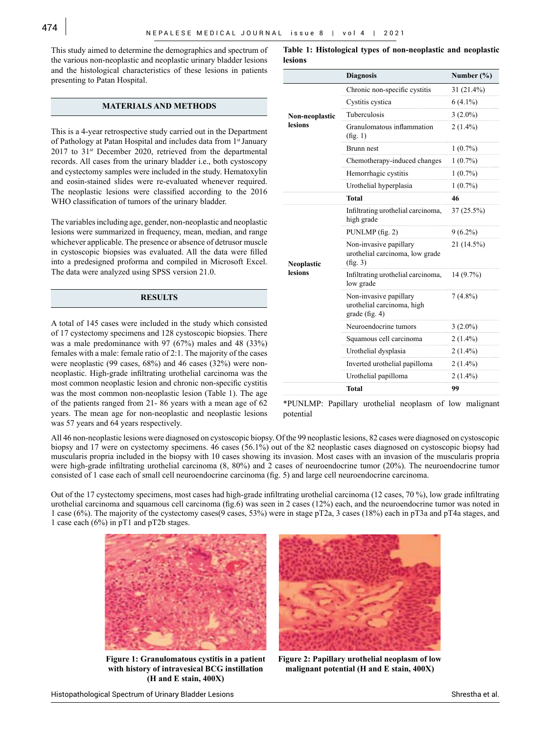This study aimed to determine the demographics and spectrum of the various non-neoplastic and neoplastic urinary bladder lesions and the histological characteristics of these lesions in patients presenting to Patan Hospital.

### **MATERIALS AND METHODS**

This is a 4-year retrospective study carried out in the Department of Pathology at Patan Hospital and includes data from 1<sup>st</sup> January 2017 to 31<sup>st</sup> December 2020, retrieved from the departmental records. All cases from the urinary bladder i.e., both cystoscopy and cystectomy samples were included in the study. Hematoxylin and eosin-stained slides were re-evaluated whenever required. The neoplastic lesions were classified according to the 2016 WHO classification of tumors of the urinary bladder.

The variables including age, gender, non-neoplastic and neoplastic lesions were summarized in frequency, mean, median, and range whichever applicable. The presence or absence of detrusor muscle in cystoscopic biopsies was evaluated. All the data were filled into a predesigned proforma and compiled in Microsoft Excel. The data were analyzed using SPSS version 21.0.

### **RESULTS**

A total of 145 cases were included in the study which consisted of 17 cystectomy specimens and 128 cystoscopic biopsies. There was a male predominance with 97 (67%) males and 48 (33%) females with a male: female ratio of 2:1. The majority of the cases were neoplastic (99 cases, 68%) and 46 cases (32%) were nonneoplastic. High-grade infiltrating urothelial carcinoma was the most common neoplastic lesion and chronic non-specific cystitis was the most common non-neoplastic lesion (Table 1). The age of the patients ranged from 21- 86 years with a mean age of 62 years. The mean age for non-neoplastic and neoplastic lesions was 57 years and 64 years respectively.

**Table 1: Histological types of non-neoplastic and neoplastic lesions**

|                              | <b>Diagnosis</b>                                                       | Number $(\% )$ |
|------------------------------|------------------------------------------------------------------------|----------------|
| Non-neoplastic<br>lesions    | Chronic non-specific cystitis                                          | $31(21.4\%)$   |
|                              | Cystitis cystica                                                       | $6(4.1\%)$     |
|                              | Tuberculosis                                                           | $3(2.0\%)$     |
|                              | Granulomatous inflammation<br>(fig. 1)                                 | $2(1.4\%)$     |
|                              | Brunn nest                                                             | $1(0.7\%)$     |
|                              | Chemotherapy-induced changes                                           | $1(0.7\%)$     |
|                              | Hemorrhagic cystitis                                                   | $1(0.7\%)$     |
|                              | Urothelial hyperplasia                                                 | $1(0.7\%)$     |
|                              | Total                                                                  | 46             |
| <b>Neoplastic</b><br>lesions | Infiltrating urothelial carcinoma,<br>high grade                       | $37(25.5\%)$   |
|                              | PUNLMP (fig. 2)                                                        | $9(6.2\%)$     |
|                              | Non-invasive papillary<br>urothelial carcinoma, low grade<br>(fig. 3)  | 21 (14.5%)     |
|                              | Infiltrating urothelial carcinoma,<br>low grade                        | 14 (9.7%)      |
|                              | Non-invasive papillary<br>urothelial carcinoma, high<br>grade (fig. 4) | $7(4.8\%)$     |
|                              | Neuroendocrine tumors                                                  | $3(2.0\%)$     |
|                              | Squamous cell carcinoma                                                | $2(1.4\%)$     |
|                              | Urothelial dysplasia                                                   | $2(1.4\%)$     |
|                              | Inverted urothelial papilloma                                          | $2(1.4\%)$     |
|                              | Urothelial papilloma                                                   | $2(1.4\%)$     |
|                              | Total                                                                  | 99             |

\*PUNLMP: Papillary urothelial neoplasm of low malignant potential

All 46 non-neoplastic lesions were diagnosed on cystoscopic biopsy. Of the 99 neoplastic lesions, 82 cases were diagnosed on cystoscopic biopsy and 17 were on cystectomy specimens. 46 cases (56.1%) out of the 82 neoplastic cases diagnosed on cystoscopic biopsy had muscularis propria included in the biopsy with 10 cases showing its invasion. Most cases with an invasion of the muscularis propria were high-grade infiltrating urothelial carcinoma (8, 80%) and 2 cases of neuroendocrine tumor (20%). The neuroendocrine tumor consisted of 1 case each of small cell neuroendocrine carcinoma (fig. 5) and large cell neuroendocrine carcinoma.

Out of the 17 cystectomy specimens, most cases had high-grade infiltrating urothelial carcinoma (12 cases, 70 %), low grade infiltrating urothelial carcinoma and squamous cell carcinoma (fig.6) was seen in 2 cases (12%) each, and the neuroendocrine tumor was noted in 1 case (6%). The majority of the cystectomy cases(9 cases, 53%) were in stage pT2a, 3 cases (18%) each in pT3a and pT4a stages, and 1 case each (6%) in pT1 and pT2b stages.



**Figure 1: Granulomatous cystitis in a patient with history of intravesical BCG instillation (H and E stain, 400X)**



**Figure 2: Papillary urothelial neoplasm of low malignant potential (H and E stain, 400X)**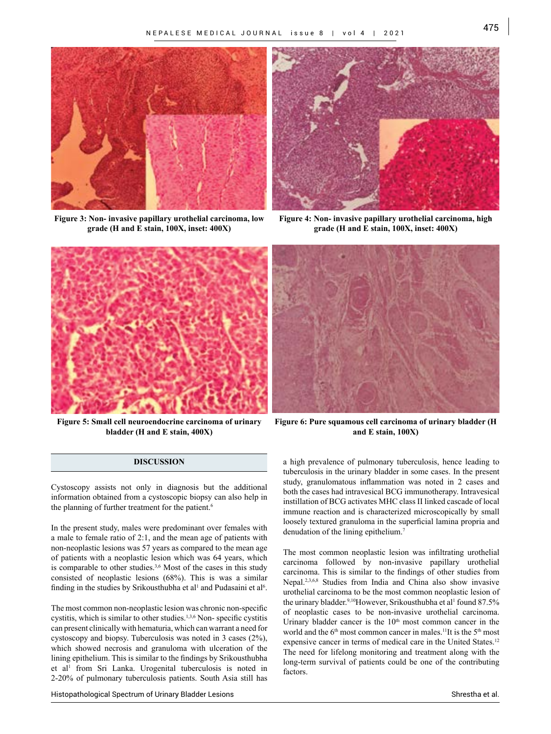

**Figure 3: Non- invasive papillary urothelial carcinoma, low grade (H and E stain, 100X, inset: 400X)**



**Figure 4: Non- invasive papillary urothelial carcinoma, high grade (H and E stain, 100X, inset: 400X)**



**Figure 5: Small cell neuroendocrine carcinoma of urinary bladder (H and E stain, 400X)**

#### **DISCUSSION**

Cystoscopy assists not only in diagnosis but the additional information obtained from a cystoscopic biopsy can also help in the planning of further treatment for the patient.<sup>6</sup>

In the present study, males were predominant over females with a male to female ratio of 2:1, and the mean age of patients with non-neoplastic lesions was 57 years as compared to the mean age of patients with a neoplastic lesion which was 64 years, which is comparable to other studies.<sup>3,6</sup> Most of the cases in this study consisted of neoplastic lesions (68%). This is was a similar finding in the studies by Srikousthubha et al<sup>1</sup> and Pudasaini et al<sup>6</sup>.

The most common non-neoplastic lesion was chronic non-specific cystitis, which is similar to other studies.<sup>1,3,6</sup> Non- specific cystitis can present clinically with hematuria, which can warrant a need for cystoscopy and biopsy. Tuberculosis was noted in 3 cases (2%), which showed necrosis and granuloma with ulceration of the lining epithelium. This is similar to the findings by Srikousthubha et al<sup>1</sup> from Sri Lanka. Urogenital tuberculosis is noted in 2-20% of pulmonary tuberculosis patients. South Asia still has

**Figure 6: Pure squamous cell carcinoma of urinary bladder (H and E stain, 100X)**

a high prevalence of pulmonary tuberculosis, hence leading to tuberculosis in the urinary bladder in some cases. In the present study, granulomatous inflammation was noted in 2 cases and both the cases had intravesical BCG immunotherapy. Intravesical instillation of BCG activates MHC class II linked cascade of local immune reaction and is characterized microscopically by small loosely textured granuloma in the superficial lamina propria and denudation of the lining epithelium.<sup>7</sup>

The most common neoplastic lesion was infiltrating urothelial carcinoma followed by non-invasive papillary urothelial carcinoma. This is similar to the findings of other studies from Nepal.2,3,6,8 Studies from India and China also show invasive urothelial carcinoma to be the most common neoplastic lesion of the urinary bladder.<sup>9,10</sup>However, Srikousthubha et al<sup>1</sup> found 87.5% of neoplastic cases to be non-invasive urothelial carcinoma. Urinary bladder cancer is the  $10<sup>th</sup>$  most common cancer in the world and the 6<sup>th</sup> most common cancer in males.<sup>11</sup>It is the 5<sup>th</sup> most expensive cancer in terms of medical care in the United States.<sup>12</sup> The need for lifelong monitoring and treatment along with the long-term survival of patients could be one of the contributing factors.

Histopathological Spectrum of Urinary Bladder Lesions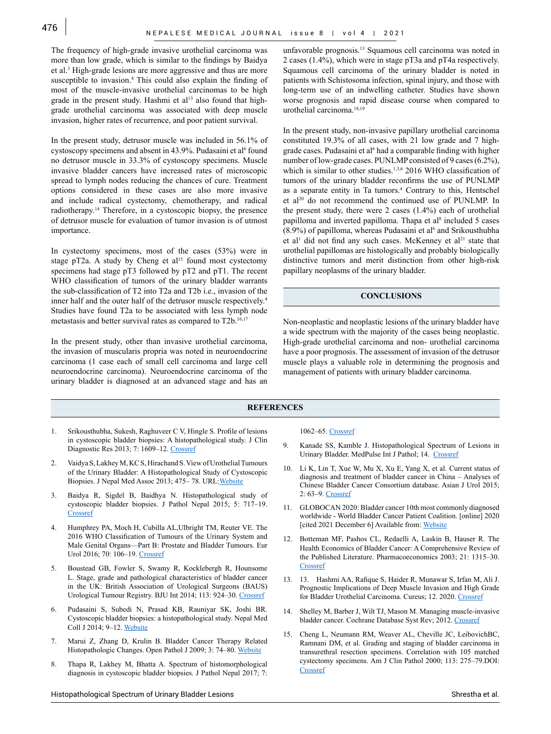The frequency of high-grade invasive urothelial carcinoma was more than low grade, which is similar to the findings by Baidya et al.3 High-grade lesions are more aggressive and thus are more susceptible to invasion.<sup>4</sup> This could also explain the finding of most of the muscle-invasive urothelial carcinomas to be high grade in the present study. Hashmi et al<sup>13</sup> also found that highgrade urothelial carcinoma was associated with deep muscle invasion, higher rates of recurrence, and poor patient survival.

In the present study, detrusor muscle was included in 56.1% of cystoscopy specimens and absent in  $43.9\%$ . Pudasaini et al<sup>6</sup> found no detrusor muscle in 33.3% of cystoscopy specimens. Muscle invasive bladder cancers have increased rates of microscopic spread to lymph nodes reducing the chances of cure. Treatment options considered in these cases are also more invasive and include radical cystectomy, chemotherapy, and radical radiotherapy.14 Therefore, in a cystoscopic biopsy, the presence of detrusor muscle for evaluation of tumor invasion is of utmost importance.

In cystectomy specimens, most of the cases (53%) were in stage pT2a. A study by Cheng et  $al<sup>15</sup>$  found most cystectomy specimens had stage pT3 followed by pT2 and pT1. The recent WHO classification of tumors of the urinary bladder warrants the sub-classification of T2 into T2a and T2b i.e., invasion of the inner half and the outer half of the detrusor muscle respectively.<sup>4</sup> Studies have found T2a to be associated with less lymph node metastasis and better survival rates as compared to T2b.<sup>16,17</sup>

In the present study, other than invasive urothelial carcinoma, the invasion of muscularis propria was noted in neuroendocrine carcinoma (1 case each of small cell carcinoma and large cell neuroendocrine carcinoma). Neuroendocrine carcinoma of the urinary bladder is diagnosed at an advanced stage and has an unfavorable prognosis.13 Squamous cell carcinoma was noted in 2 cases (1.4%), which were in stage pT3a and pT4a respectively. Squamous cell carcinoma of the urinary bladder is noted in patients with Schistosoma infection, spinal injury, and those with long-term use of an indwelling catheter. Studies have shown worse prognosis and rapid disease course when compared to urothelial carcinoma.18,19

In the present study, non-invasive papillary urothelial carcinoma constituted 19.3% of all cases, with 21 low grade and 7 highgrade cases. Pudasaini et al<sup>6</sup> had a comparable finding with higher number of low-grade cases. PUNLMP consisted of 9 cases (6.2%), which is similar to other studies.<sup>1,3,6</sup> 2016 WHO classification of tumors of the urinary bladder reconfirms the use of PUNLMP as a separate entity in Ta tumors.4 Contrary to this, Hentschel et al<sup>20</sup> do not recommend the continued use of PUNLMP. In the present study, there were 2 cases (1.4%) each of urothelial papilloma and inverted papilloma. Thapa et al<sup>8</sup> included 5 cases  $(8.9\%)$  of papilloma, whereas Pudasaini et al<sup>6</sup> and Srikousthubha et al<sup>1</sup> did not find any such cases. McKenney et al<sup>21</sup> state that urothelial papillomas are histologically and probably biologically distinctive tumors and merit distinction from other high-risk papillary neoplasms of the urinary bladder.

#### **CONCLUSIONS**

Non-neoplastic and neoplastic lesions of the urinary bladder have a wide spectrum with the majority of the cases being neoplastic. High-grade urothelial carcinoma and non- urothelial carcinoma have a poor prognosis. The assessment of invasion of the detrusor muscle plays a valuable role in determining the prognosis and management of patients with urinary bladder carcinoma.

#### **REFERENCES**

- 1. Srikousthubha, Sukesh, Raghuveer C V, Hingle S. Profile of lesions in cystoscopic bladder biopsies: A histopathological study. J Clin Diagnostic Res 2013; 7: 1609–12. [Crossref](DOI: https://doi.org/10.7860/JCDR/2013/5166.3233)
- 2. Vaidya S, Lakhey M, KC S, Hirachand S. View of Urothelial Tumours of the Urinary Bladder: A Histopathological Study of Cystoscopic Biopsies. J Nepal Med Assoc 2013; 475– 78. URL[:Website](https://www.jnma.com.np/jnma/index.php/jnma/article/view/2053/1637)
- 3. Baidya R, Sigdel B, Baidhya N. Histopathological study of cystoscopic bladder biopsies. J Pathol Nepal 2015; 5: 717–19. **[Crossref](DOI: https://doi.org/10.3126/jpn.v5i9.13689)**
- 4. Humphrey PA, Moch H, Cubilla AL,Ulbright TM, Reuter VE. The 2016 WHO Classification of Tumours of the Urinary System and Male Genital Organs—Part B: Prostate and Bladder Tumours. Eur Urol 2016; 70: 106–19. [Crossref](DOI: https://doi.org/10.1016/j.eururo.2016.02.028)
- 5. Boustead GB, Fowler S, Swamy R, Kocklebergh R, Hounsome L. Stage, grade and pathological characteristics of bladder cancer in the UK: British Association of Urological Surgeons (BAUS) Urological Tumour Registry. BJU Int 2014; 113: 924–30. [Crossref](DOI: https://doi.org/10.1111/BJU.12468)
- 6. Pudasaini S, Subedi N, Prasad KB, Rauniyar SK, Joshi BR. Cystoscopic bladder biopsies: a histopathological study. Nepal Med Coll J 2014; 9–12. [Website](URL: https://pubmed.ncbi.nlm.nih.gov/25799802/)
- 7. Marui Z, Zhang D, Krulin B. Bladder Cancer Therapy Related Histopathologic Changes. Open Pathol J 2009; 3: 74–80. [Website](URL: https://benthamopen.com/contents/pdf/TOPATJ/TOPATJ-3-74.pdf)
- 8. Thapa R, Lakhey M, Bhatta A. Spectrum of histomorphological diagnosis in cystoscopic bladder biopsies. J Pathol Nepal 2017; 7:

#### 1062–65. [Crossref](DOI: https://doi.org/10.3126/jpn.v7i1.16913)

- 9. Kanade SS, Kamble J. Histopathological Spectrum of Lesions in Urinary Bladder. MedPulse Int J Pathol; 14. [Crossref](DOI: https://doi.org/10.26611/1051434)
- 10. Li K, Lin T, Xue W, Mu X, Xu E, Yang X, et al. Current status of diagnosis and treatment of bladder cancer in China – Analyses of Chinese Bladder Cancer Consortium database. Asian J Urol 2015; 2: 63–9. [Crossref](DOI: https://doi.org/10.1016/J.AJUR.2015.04.016)
- 11. GLOBOCAN 2020: Bladder cancer 10th most commonly diagnosed worldwide - World Bladder Cancer Patient Coalition. [online] 2020 [cited 2021 December 6] Available from: [Website](URL:https://worldbladdercancer.org/news_events/globocan-2020-bladder-cancer-10th-most-commonly-diagnosed-worldwide/.)
- 12. Botteman MF, Pashos CL, Redaelli A, Laskin B, Hauser R. The Health Economics of Bladder Cancer: A Comprehensive Review of the Published Literature. Pharmacoeconomics 2003; 21: 1315–30. [Crossref](DOI: https://doi.org/10.1007/BF03262330)
- 13. 13. Hashmi AA, Rafique S, Haider R, Munawar S, Irfan M, Ali J. Prognostic Implications of Deep Muscle Invasion and High Grade for Bladder Urothelial Carcinoma. Cureus; 12. 2020. [Crossref](DOI: https://doi.org/10.7759/CUREUS.10802.)
- 14. Shelley M, Barber J, Wilt TJ, Mason M. Managing muscle-invasive bladder cancer. Cochrane Database Syst Rev; 2012. [Crossref](DOI: https://doi.org. 10.1002/14651858.CD002079)
- 15. Cheng L, Neumann RM, Weaver AL, Cheville JC, LeibovichBC, Ramnani DM, et al. Grading and staging of bladder carcinoma in transurethral resection specimens. Correlation with 105 matched cystectomy specimens. Am J Clin Pathol 2000; 113: 275–79.DOI: **[Crossref](https://doi.org/10.1309/94B6-8VFB-MN9J-1NF5)**